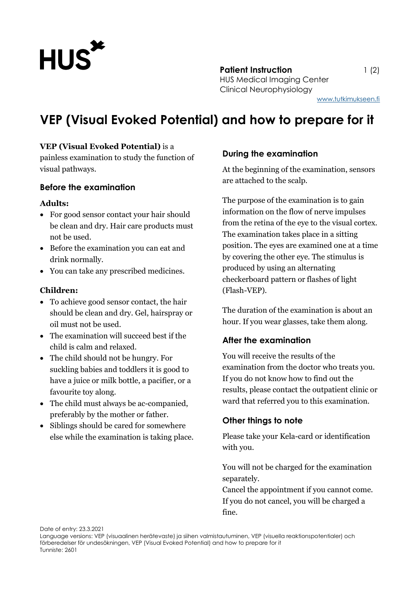

**Patient Instruction** 1 (2) HUS Medical Imaging Center Clinical Neurophysiology

# **VEP (Visual Evoked Potential) and how to prepare for it**

## **VEP (Visual Evoked Potential)** is a

painless examination to study the function of visual pathways.

#### **Before the examination**

#### **Adults:**

- For good sensor contact your hair should be clean and dry. Hair care products must not be used.
- Before the examination you can eat and drink normally.
- You can take any prescribed medicines.

#### **Children:**

- To achieve good sensor contact, the hair should be clean and dry. Gel, hairspray or oil must not be used.
- The examination will succeed best if the child is calm and relaxed.
- The child should not be hungry. For suckling babies and toddlers it is good to have a juice or milk bottle, a pacifier, or a favourite toy along.
- The child must always be ac-companied, preferably by the mother or father.
- Siblings should be cared for somewhere else while the examination is taking place.

# **During the examination**

At the beginning of the examination, sensors are attached to the scalp.

The purpose of the examination is to gain information on the flow of nerve impulses from the retina of the eye to the visual cortex. The examination takes place in a sitting position. The eyes are examined one at a time by covering the other eye. The stimulus is produced by using an alternating checkerboard pattern or flashes of light (Flash-VEP).

The duration of the examination is about an hour. If you wear glasses, take them along.

## **After the examination**

You will receive the results of the examination from the doctor who treats you. If you do not know how to find out the results, please contact the outpatient clinic or ward that referred you to this examination.

## **Other things to note**

Please take your Kela-card or identification with you.

You will not be charged for the examination separately.

Cancel the appointment if you cannot come. If you do not cancel, you will be charged a fine.

Date of entry: 23.3.2021

Language versions: VEP (visuaalinen herätevaste) ja siihen valmistautuminen, VEP (visuella reaktionspotentialer) och förberedelser för undesökningen, VEP (Visual Evoked Potential) and how to prepare for it Tunniste: 2601